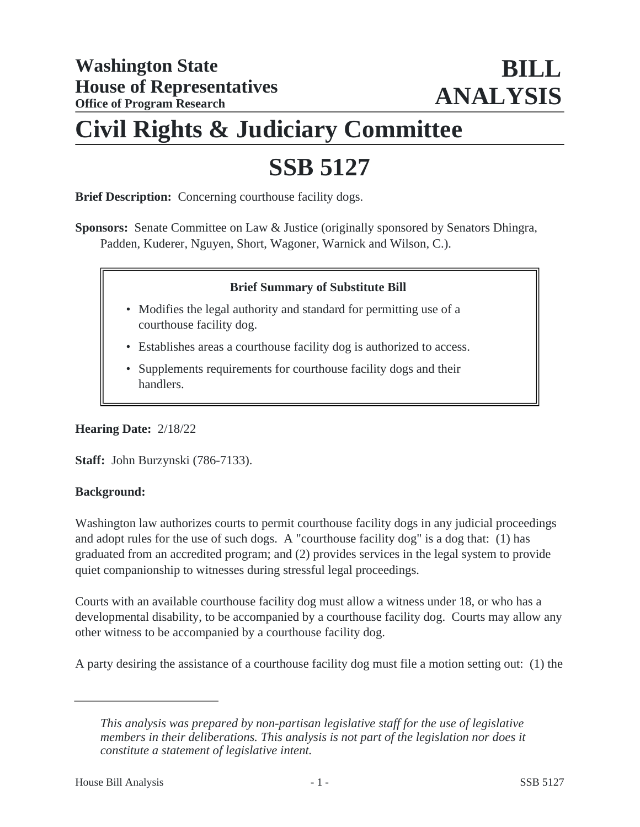# **Civil Rights & Judiciary Committee**

# **SSB 5127**

**Brief Description:** Concerning courthouse facility dogs.

**Sponsors:** Senate Committee on Law & Justice (originally sponsored by Senators Dhingra, Padden, Kuderer, Nguyen, Short, Wagoner, Warnick and Wilson, C.).

## **Brief Summary of Substitute Bill**

- Modifies the legal authority and standard for permitting use of a courthouse facility dog.
- Establishes areas a courthouse facility dog is authorized to access.
- Supplements requirements for courthouse facility dogs and their handlers.

**Hearing Date:** 2/18/22

**Staff:** John Burzynski (786-7133).

#### **Background:**

Washington law authorizes courts to permit courthouse facility dogs in any judicial proceedings and adopt rules for the use of such dogs. A "courthouse facility dog" is a dog that: (1) has graduated from an accredited program; and (2) provides services in the legal system to provide quiet companionship to witnesses during stressful legal proceedings.

Courts with an available courthouse facility dog must allow a witness under 18, or who has a developmental disability, to be accompanied by a courthouse facility dog. Courts may allow any other witness to be accompanied by a courthouse facility dog.

A party desiring the assistance of a courthouse facility dog must file a motion setting out: (1) the

*This analysis was prepared by non-partisan legislative staff for the use of legislative members in their deliberations. This analysis is not part of the legislation nor does it constitute a statement of legislative intent.*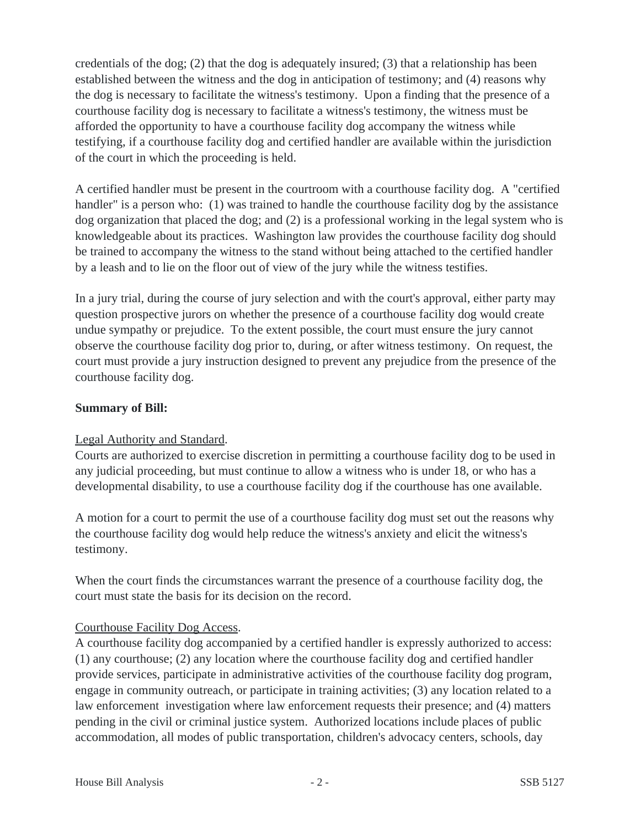credentials of the dog; (2) that the dog is adequately insured; (3) that a relationship has been established between the witness and the dog in anticipation of testimony; and (4) reasons why the dog is necessary to facilitate the witness's testimony. Upon a finding that the presence of a courthouse facility dog is necessary to facilitate a witness's testimony, the witness must be afforded the opportunity to have a courthouse facility dog accompany the witness while testifying, if a courthouse facility dog and certified handler are available within the jurisdiction of the court in which the proceeding is held.

A certified handler must be present in the courtroom with a courthouse facility dog. A "certified handler" is a person who: (1) was trained to handle the courthouse facility dog by the assistance dog organization that placed the dog; and (2) is a professional working in the legal system who is knowledgeable about its practices. Washington law provides the courthouse facility dog should be trained to accompany the witness to the stand without being attached to the certified handler by a leash and to lie on the floor out of view of the jury while the witness testifies.

In a jury trial, during the course of jury selection and with the court's approval, either party may question prospective jurors on whether the presence of a courthouse facility dog would create undue sympathy or prejudice. To the extent possible, the court must ensure the jury cannot observe the courthouse facility dog prior to, during, or after witness testimony. On request, the court must provide a jury instruction designed to prevent any prejudice from the presence of the courthouse facility dog.

#### **Summary of Bill:**

#### Legal Authority and Standard.

Courts are authorized to exercise discretion in permitting a courthouse facility dog to be used in any judicial proceeding, but must continue to allow a witness who is under 18, or who has a developmental disability, to use a courthouse facility dog if the courthouse has one available.

A motion for a court to permit the use of a courthouse facility dog must set out the reasons why the courthouse facility dog would help reduce the witness's anxiety and elicit the witness's testimony.

When the court finds the circumstances warrant the presence of a courthouse facility dog, the court must state the basis for its decision on the record.

#### Courthouse Facility Dog Access.

A courthouse facility dog accompanied by a certified handler is expressly authorized to access: (1) any courthouse; (2) any location where the courthouse facility dog and certified handler provide services, participate in administrative activities of the courthouse facility dog program, engage in community outreach, or participate in training activities; (3) any location related to a law enforcement investigation where law enforcement requests their presence; and (4) matters pending in the civil or criminal justice system. Authorized locations include places of public accommodation, all modes of public transportation, children's advocacy centers, schools, day